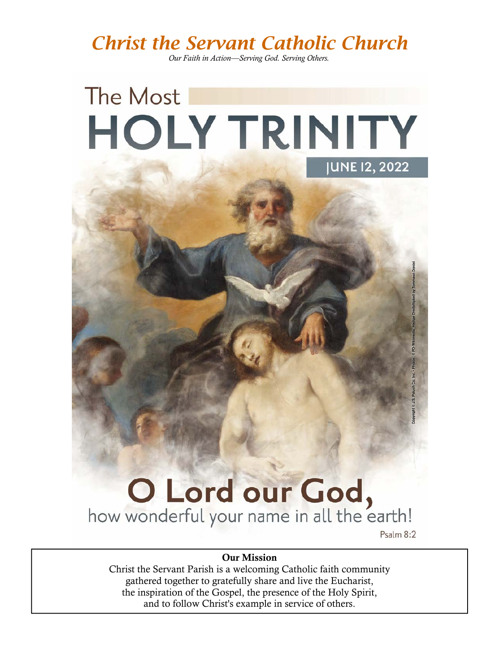*Christ the Servant Catholic Church* 

*Our Faith in Action—Serving God. Serving Others.*

# The Most **HOLY TRINITY JUNE 12, 2022**

# **O Lord our God,**<br>how wonderful your name in all the earth!

Psalm 8:2

#### Our Mission

Christ the Servant Parish is a welcoming Catholic faith community gathered together to gratefully share and live the Eucharist, the inspiration of the Gospel, the presence of the Holy Spirit, and to follow Christ's example in service of others.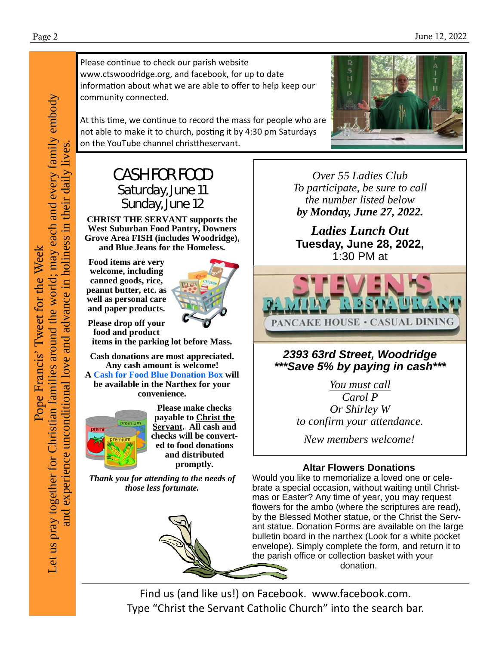Please continue to check our parish website www.ctswoodridge.org, and facebook, for up to date information about what we are able to offer to help keep our community connected.

At this time, we continue to record the mass for people who are not able to make it to church, posting it by 4:30 pm Saturdays on the YouTube channel christtheservant.

#### CASH FOR FOOD Saturday, June 11 Sunday, June 12

**CHRIST THE SERVANT supports the West Suburban Food Pantry, Downers Grove Area FISH (includes Woodridge), and Blue Jeans for the Homeless.** 

**Food items are very welcome, including canned goods, rice, peanut butter, etc. as well as personal care and paper products.** 



**Please drop off your food and product** 

**items in the parking lot before Mass.** 

**Cash donations are most appreciated. Any cash amount is welcome!** 

**A Cash for Food Blue Donation Box will be available in the Narthex for your convenience.** 



**Please make checks payable to Christ the Servant. All cash and checks will be converted to food donations and distributed promptly.** 

*Thank you for attending to the needs of those less fortunate.*



*Over 55 Ladies Club To participate, be sure to call the number listed below by Monday, June 27, 2022.*

*Ladies Lunch Out*  **Tuesday, June 28, 2022,**  1:30 PM at



#### *2393 63rd Street, Woodridge \*\*\*Save 5% by paying in cash\*\*\**

*You must call Carol P Or Shirley W to confirm your attendance.* 

*New members welcome!*

#### **Altar Flowers Donations**

Would you like to memorialize a loved one or celebrate a special occasion, without waiting until Christmas or Easter? Any time of year, you may request flowers for the ambo (where the scriptures are read), by the Blessed Mother statue, or the Christ the Servant statue. Donation Forms are available on the large bulletin board in the narthex (Look for a white pocket envelope). Simply complete the form, and return it to the parish office or collection basket with your donation.

Find us (and like us!) on Facebook. www.facebook.com. Type "Christ the Servant Catholic Church" into the search bar.

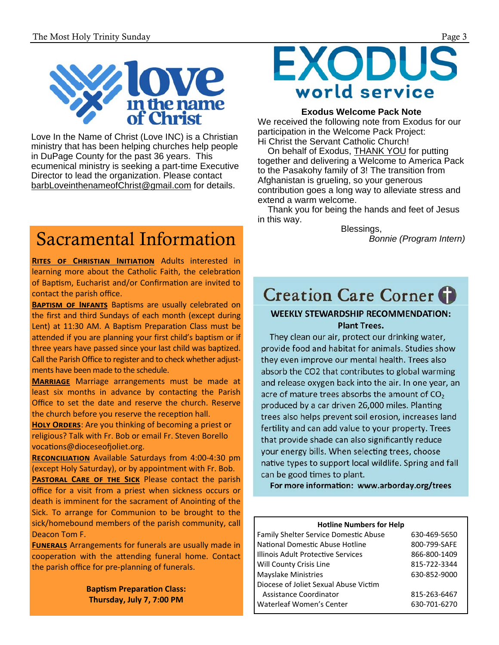

Love In the Name of Christ (Love INC) is a Christian ministry that has been helping churches help people in DuPage County for the past 36 years. This ecumenical ministry is seeking a part-time Executive Director to lead the organization. Please contact barbLoveinthenameofChrist@gmail.com for details.

## Sacramental Information

**RITES OF CHRISTIAN INITIATION** Adults interested in learning more about the Catholic Faith, the celebration of Baptism, Eucharist and/or Confirmation are invited to contact the parish office.

**BAPTISM OF INFANTS** Baptisms are usually celebrated on the first and third Sundays of each month (except during Lent) at 11:30 AM. A Baptism Preparation Class must be attended if you are planning your first child's baptism or if three years have passed since your last child was baptized. Call the Parish Office to register and to check whether adjust‐ ments have been made to the schedule.

**MARRIAGE** Marriage arrangements must be made at least six months in advance by contacting the Parish Office to set the date and reserve the church. Reserve the church before you reserve the reception hall.

**HOLY ORDERS:** Are you thinking of becoming a priest or religious? Talk with Fr. Bob or email Fr. Steven Borello vocations@dioceseofioliet.org.

**RECONCILIATION** Available Saturdays from 4:00-4:30 pm (except Holy Saturday), or by appointment with Fr. Bob. **PASTORAL CARE OF THE SICK Please contact the parish** office for a visit from a priest when sickness occurs or death is imminent for the sacrament of Anointing of the Sick. To arrange for Communion to be brought to the sick/homebound members of the parish community, call Deacon Tom F.

**FUNERALS** Arrangements for funerals are usually made in cooperation with the attending funeral home. Contact the parish office for pre‐planning of funerals.

> **Baptism Preparation Class: Thursday, July 7, 7:00 PM**

## **EXODUS** world service

#### **Exodus Welcome Pack Note**

We received the following note from Exodus for our participation in the Welcome Pack Project: Hi Christ the Servant Catholic Church!

On behalf of Exodus, **THANK YOU** for putting together and delivering a Welcome to America Pack to the Pasakohy family of 3! The transition from Afghanistan is grueling, so your generous contribution goes a long way to alleviate stress and extend a warm welcome.

 Thank you for being the hands and feet of Jesus in this way.

Blessings, *Bonnie (Program Intern)* 

## **Creation Care Corner**

#### **WEEKLY STEWARDSHIP RECOMMENDATION: Plant Trees.**

They clean our air, protect our drinking water, provide food and habitat for animals. Studies show they even improve our mental health. Trees also absorb the CO2 that contributes to global warming and release oxygen back into the air. In one year, an acre of mature trees absorbs the amount of  $CO<sub>2</sub>$ produced by a car driven 26,000 miles. Planting trees also helps prevent soil erosion, increases land fertility and can add value to your property. Trees that provide shade can also significantly reduce your energy bills. When selecting trees, choose native types to support local wildlife. Spring and fall can be good times to plant.

For more information: www.arborday.org/trees

#### **Hotline Numbers for Help**

| <b>Family Shelter Service Domestic Abuse</b> | 630-469-5650 |
|----------------------------------------------|--------------|
| National Domestic Abuse Hotline              | 800-799-SAFE |
| Illinois Adult Protective Services           | 866-800-1409 |
| Will County Crisis Line                      | 815-722-3344 |
| <b>Mayslake Ministries</b>                   | 630-852-9000 |
| Diocese of Joliet Sexual Abuse Victim        |              |
| Assistance Coordinator                       | 815-263-6467 |
| Waterleaf Women's Center                     | 630-701-6270 |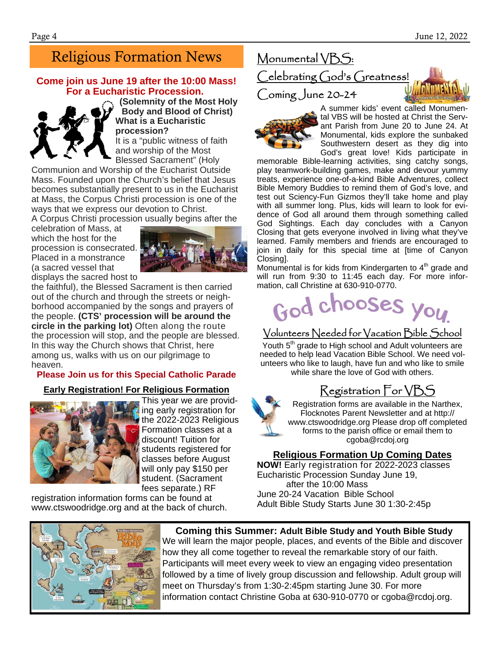#### Religious Formation News

#### **Come join us June 19 after the 10:00 Mass! For a Eucharistic Procession.**



**(Solemnity of the Most Holy Body and Blood of Christ) What is a Eucharistic procession?** 

It is a "public witness of faith and worship of the Most Blessed Sacrament" (Holy

Communion and Worship of the Eucharist Outside Mass. Founded upon the Church's belief that Jesus becomes substantially present to us in the Eucharist at Mass, the Corpus Christi procession is one of the ways that we express our devotion to Christ.

A Corpus Christi procession usually begins after the

celebration of Mass, at which the host for the procession is consecrated. Placed in a monstrance (a sacred vessel that



displays the sacred host to

the faithful), the Blessed Sacrament is then carried out of the church and through the streets or neighborhood accompanied by the songs and prayers of the people. **(CTS' procession will be around the circle in the parking lot)** Often along the route the procession will stop, and the people are blessed. In this way the Church shows that Christ, here among us, walks with us on our pilgrimage to heaven.

#### **Please Join us for this Special Catholic Parade**

#### **Early Registration! For Religious Formation**



This year we are providing early registration for the 2022-2023 Religious Formation classes at a discount! Tuition for students registered for classes before August will only pay \$150 per student. (Sacrament fees separate.) RF

registration information forms can be found at www.ctswoodridge.org and at the back of church.

#### Monumental VBS: Celebrating God's Greatness! Coming June 20-24



A summer kids' event called Monumental VBS will be hosted at Christ the Servant Parish from June 20 to June 24. At Monumental, kids explore the sunbaked Southwestern desert as they dig into God's great love! Kids participate in

memorable Bible-learning activities, sing catchy songs, play teamwork-building games, make and devour yummy treats, experience one-of-a-kind Bible Adventures, collect Bible Memory Buddies to remind them of God's love, and test out Sciency-Fun Gizmos they'll take home and play with all summer long. Plus, kids will learn to look for evidence of God all around them through something called God Sightings. Each day concludes with a Canyon Closing that gets everyone involved in living what they've learned. Family members and friends are encouraged to join in daily for this special time at [time of Canyon Closing].

Monumental is for kids from Kindergarten to  $4<sup>th</sup>$  grade and will run from 9:30 to 11:45 each day. For more information, call Christine at 630-910-0770.



#### Volunteers Needed for Vacation Bible School

Youth 5<sup>th</sup> grade to High school and Adult volunteers are needed to help lead Vacation Bible School. We need volunteers who like to laugh, have fun and who like to smile while share the love of God with others.

#### Registration For VBS



Registration forms are available in the Narthex, Flocknotes Parent Newsletter and at http:// www.ctswoodridge.org Please drop off completed forms to the parish office or email them to cgoba@rcdoj.org

#### **Religious Formation Up Coming Dates**

**NOW!** Early registration for 2022-2023 classes Eucharistic Procession Sunday June 19, after the 10:00 Mass June 20-24 Vacation Bible School Adult Bible Study Starts June 30 1:30-2:45p



#### **Coming this Summer: Adult Bible Study and Youth Bible Study**  We will learn the major people, places, and events of the Bible and discover

how they all come together to reveal the remarkable story of our faith. Participants will meet every week to view an engaging video presentation followed by a time of lively group discussion and fellowship. Adult group will meet on Thursday's from 1:30-2:45pm starting June 30. For more information contact Christine Goba at 630-910-0770 or cgoba@rcdoj.org.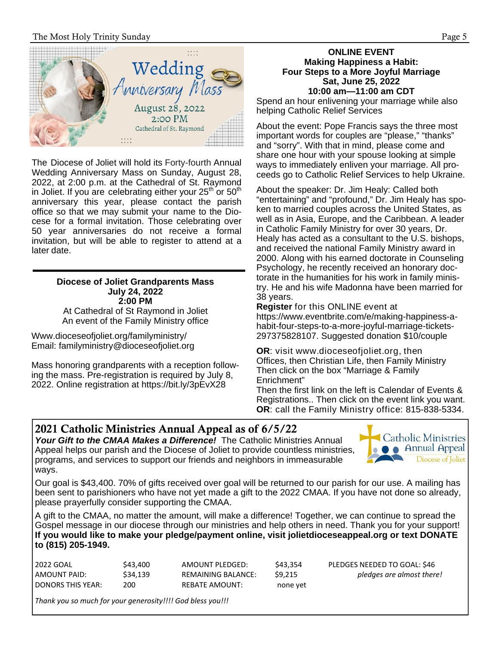The Most Holy Trinity Sunday **Page 5** 



The Diocese of Joliet will hold its Forty-fourth Annual Wedding Anniversary Mass on Sunday, August 28, 2022, at 2:00 p.m. at the Cathedral of St. Raymond in Joliet. If you are celebrating either your  $25<sup>th</sup>$  or  $50<sup>th</sup>$ anniversary this year, please contact the parish office so that we may submit your name to the Diocese for a formal invitation. Those celebrating over 50 year anniversaries do not receive a formal invitation, but will be able to register to attend at a later date.

#### **Diocese of Joliet Grandparents Mass July 24, 2022 2:00 PM**

At Cathedral of St Raymond in Joliet An event of the Family Ministry office

Www.dioceseofjoliet.org/familyministry/ Email: familyministry@dioceseofjoliet.org

Mass honoring grandparents with a reception following the mass. Pre-registration is required by July 8, 2022. Online registration at https://bit.ly/3pEvX28

#### **ONLINE EVENT Making Happiness a Habit: Four Steps to a More Joyful Marriage Sat, June 25, 2022 10:00 am—11:00 am CDT**

Spend an hour enlivening your marriage while also helping Catholic Relief Services

About the event: Pope Francis says the three most important words for couples are "please," "thanks" and "sorry". With that in mind, please come and share one hour with your spouse looking at simple ways to immediately enliven your marriage. All proceeds go to Catholic Relief Services to help Ukraine.

About the speaker: Dr. Jim Healy: Called both "entertaining" and "profound," Dr. Jim Healy has spoken to married couples across the United States, as well as in Asia, Europe, and the Caribbean. A leader in Catholic Family Ministry for over 30 years, Dr. Healy has acted as a consultant to the U.S. bishops, and received the national Family Ministry award in 2000. Along with his earned doctorate in Counseling Psychology, he recently received an honorary doctorate in the humanities for his work in family ministry. He and his wife Madonna have been married for 38 years.

**Register** for this ONLINE event at https://www.eventbrite.com/e/making-happiness-ahabit-four-steps-to-a-more-joyful-marriage-tickets-297375828107. Suggested donation \$10/couple

**OR**: visit www.dioceseofjoliet.org, then Offices, then Christian Life, then Family Ministry Then click on the box "Marriage & Family Enrichment"

Then the first link on the left is Calendar of Events & Registrations.. Then click on the event link you want. **OR**: call the Family Ministry office: 815-838-5334.

\$43,354 PLEDGES NEEDED TO GOAL: \$46 AMOUNT PAID: \$34,139 REMAINING BALANCE: \$9,215 *pledges are almost there!*

#### 2021 Catholic Ministries Annual Appeal as of 6/5/22

*Your Gift to the CMAA Makes a Difference!*The Catholic Ministries Annual Appeal helps our parish and the Diocese of Joliet to provide countless ministries, programs, and services to support our friends and neighbors in immeasurable ways.



Our goal is \$43,400. 70% of gifts received over goal will be returned to our parish for our use. A mailing has been sent to parishioners who have not yet made a gift to the 2022 CMAA. If you have not done so already, please prayerfully consider supporting the CMAA.

A gift to the CMAA, no matter the amount, will make a difference! Together, we can continue to spread the Gospel message in our diocese through our ministries and help others in need. Thank you for your support! **If you would like to make your pledge/payment online, visit jolietdioceseappeal.org or text DONATE to (815) 205-1949.** 

| 2022 GOAL         | \$43,400 | AMOUNT PLEDGED:           | \$43,354 |
|-------------------|----------|---------------------------|----------|
| AMOUNT PAID:      | \$34.139 | <b>REMAINING BALANCE:</b> | \$9.215  |
| DONORS THIS YEAR: | 200      | <b>REBATE AMOUNT:</b>     | none yet |

*Thank you so much for your generosity!!!! God bless you!!!*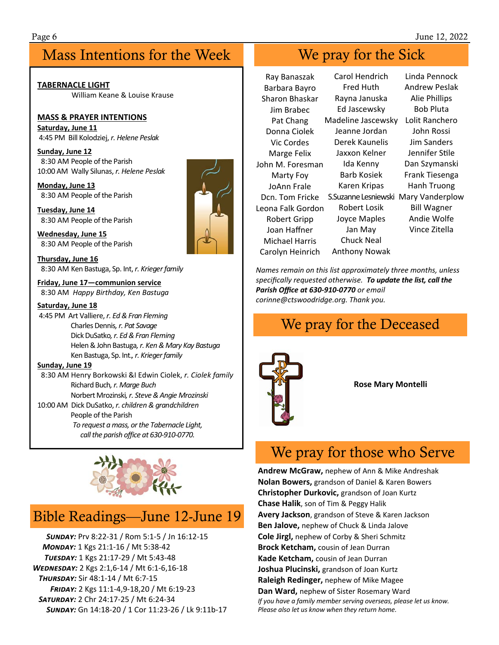#### Mass Intentions for the Week Week We pray for the Sick

**TABERNACLE LIGHT**  William Keane & Louise Krause

#### **MASS & PRAYER INTENTIONS**

**Saturday, June 11**  4:45 PM Bill Kolodziej, *r. Helene Peslak* 

**Sunday, June 12**  8:30 AM People of the Parish 10:00 AM Wally Silunas, *r. Helene Peslak* 

**Monday, June 13**  8:30 AM People of the Parish

**Tuesday, June 14**  8:30 AM People of the Parish

**Wednesday, June 15**  8:30 AM People of the Parish

**Thursday, June 16**  8:30 AM Ken Bastuga, Sp. Int, *r. Krieger family*

**Friday, June 17—communion service**  8:30 AM *Happy Birthday, Ken Bastuga*

#### **Saturday, June 18**

 4:45 PM Art Valliere, *r. Ed & Fran Fleming*  Charles Dennis*, r. Pat Savage*  Dick DuSatko*, r. Ed & Fran Fleming*  Helen & John Bastuga*, r. Ken & Mary Kay Bastuga*  Ken Bastuga, Sp. Int.*, r. Krieger family* 

#### **Sunday, June 19**

 8:30 AM Henry Borkowski &I Edwin Ciolek, *r. Ciolek family*  Richard Buch*, r. Marge Buch* 

 Norbert Mrozinski*, r. Steve & Angie Mrozinski*  10:00 AM Dick DuSatko, *r. children & grandchildren* 

#### People of the Parish

*To request a mass, or the Tabernacle Light, call the parish office at 630‐910‐0770.*



#### Bible Readings—June 12-June 19

 *SçÄù:* Prv 8:22‐31 / Rom 5:1‐5 / Jn 16:12‐15 *MONDAY:* 1 Kgs 21:1-16 / Mt 5:38-42 **TUESDAY:** 1 Kgs 21:17-29 / Mt 5:43-48 *WEDNESDAY:* 2 Kgs 2:1,6-14 / Mt 6:1-6,16-18 **THURSDAY:** Sir 48:1-14 / Mt 6:7-15 *FÙ®ù:* 2 Kgs 11:1‐4,9‐18,20 / Mt 6:19‐23  *SãçÙù:* 2 Chr 24:17‐25 / Mt 6:24‐34 *SçÄù:* Gn 14:18‐20 / 1 Cor 11:23‐26 / Lk 9:11b‐17



Ray Banaszak Barbara Bayro Sharon Bhaskar Jim Brabec Pat Chang Donna Ciolek Vic Cordes Marge Felix John M. Foresman Marty Foy JoAnn Frale Dcn. Tom Fricke S.Suzanne Lesniewski Mary Vanderplow Leona Falk Gordon Robert Gripp Joan Haffner Michael Harris Carolyn Heinrich Carol Hendrich Fred Huth Rayna Januska Ed Jascewsky Madeline Jascewsky Lolit Ranchero Jeanne Jordan Derek Kaunelis Jaxxon Kelner Ida Kenny Barb Kosiek Karen Kripas Robert Losik Joyce Maples Jan May Chuck Neal Anthony Nowak Linda Pennock Andrew Peslak Alie Phillips Bob Pluta John Rossi Jim Sanders Jennifer Stile Dan Szymanski Frank Tiesenga Hanh Truong Bill Wagner Andie Wolfe Vince Zitella

*Names remain on this list approximately three months, unless specifically requested otherwise. To update the list, call the Parish Office at 630‐910‐0770 or email* 

*corinne@ctswoodridge.org. Thank you.*

#### We pray for the Deceased



**Rose Mary Montelli** 

### We pray for those who Serve

**Andrew McGraw,** nephew of Ann & Mike Andreshak **Nolan Bowers,** grandson of Daniel & Karen Bowers **Christopher Durkovic,** grandson of Joan Kurtz **Chase Halik**, son of Tim & Peggy Halik **Avery Jackson**, grandson of Steve & Karen Jackson **Ben Jalove,** nephew of Chuck & Linda Jalove **Cole Jirgl,** nephew of Corby & Sheri Schmitz **Brock Ketcham,** cousin of Jean Durran **Kade Ketcham,** cousin of Jean Durran **Joshua Plucinski,** grandson of Joan Kurtz **Raleigh Redinger,** nephew of Mike Magee **Dan Ward,** nephew of Sister Rosemary Ward *If you have a family member serving overseas, please let us know. Please also let us know when they return home.*